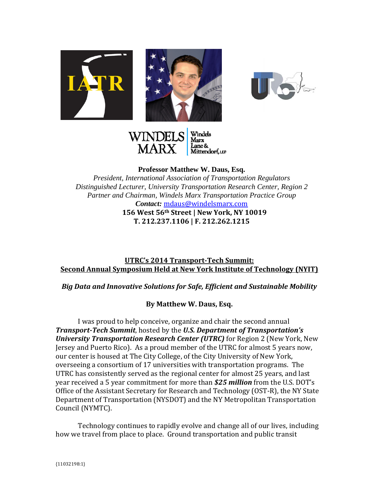







**Professor Matthew W. Daus, Esq.**

*President, International Association of Transportation Regulators Distinguished Lecturer, University Transportation Research Center, Region 2 Partner and Chairman, Windels Marx Transportation Practice Group Contact:* mdaus@windelsmarx.com **156 West 56th Street | New York, NY 10019 T. 212.237.1106 | F. 212.262.1215**

## **UTRC's 2014 Transport‐Tech Summit: Second Annual Symposium Held at New York Institute of Technology (NYIT)**

## *Big Data and Innovative Solutions for Safe, Efficient and Sustainable Mobility*

## **By Matthew W. Daus, Esq.**

I was proud to help conceive, organize and chair the second annual *Transport-Tech Summit,* hosted by the U.S. Department of Transportation's *University Transportation Research Center (UTRC)* **for Region 2 (New York, New** Jersey and Puerto Rico). As a proud member of the UTRC for almost 5 years now, our center is housed at The City College, of the City University of New York, overseeing a consortium of 17 universities with transportation programs. The UTRC has consistently served as the regional center for almost 25 years, and last year received a 5 year commitment for more than **\$25** *million* from the U.S. DOT's Office of the Assistant Secretary for Research and Technology (OST-R), the NY State Department of Transportation (NYSDOT) and the NY Metropolitan Transportation Council (NYMTC).

Technology continues to rapidly evolve and change all of our lives, including how we travel from place to place. Ground transportation and public transit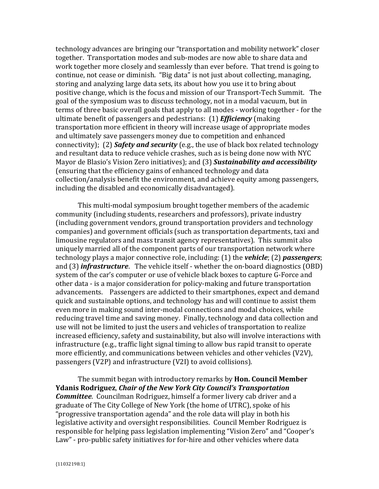technology advances are bringing our "transportation and mobility network" closer together. Transportation modes and sub-modes are now able to share data and work together more closely and seamlessly than ever before. That trend is going to continue, not cease or diminish. "Big data" is not just about collecting, managing, storing and analyzing large data sets, its about how you use it to bring about positive change, which is the focus and mission of our Transport-Tech Summit. The goal of the symposium was to discuss technology, not in a modal vacuum, but in terms of three basic overall goals that apply to all modes - working together - for the ultimate benefit of passengers and pedestrians: (1) *Efficiency* (making transportation more efficient in theory will increase usage of appropriate modes and ultimately save passengers money due to competition and enhanced connectivity); (2) *Safety and security* (e.g., the use of black box related technology and resultant data to reduce vehicle crashes, such as is being done now with NYC Mayor de Blasio's Vision Zero initiatives); and (3) **Sustainability and accessibility** (ensuring that the efficiency gains of enhanced technology and data collection/analysis benefit the environment, and achieve equity among passengers, including the disabled and economically disadvantaged).

This multi-modal symposium brought together members of the academic community (including students, researchers and professors), private industry (including government vendors, ground transportation providers and technology companies) and government officials (such as transportation departments, taxi and limousine regulators and mass transit agency representatives). This summit also uniquely married all of the component parts of our transportation network where technology plays a major connective role, including: (1) the *vehicle*; (2) *passengers*; and (3) *infrastructure*. The vehicle itself - whether the on-board diagnostics (OBD) system of the car's computer or use of vehicle black boxes to capture G-Force and other data - is a major consideration for policy-making and future transportation advancements. Passengers are addicted to their smartphones, expect and demand quick and sustainable options, and technology has and will continue to assist them even more in making sound inter-modal connections and modal choices, while reducing travel time and saving money. Finally, technology and data collection and use will not be limited to just the users and vehicles of transportation to realize increased efficiency, safety and sustainability, but also will involve interactions with infrastructure (e.g., traffic light signal timing to allow bus rapid transit to operate more efficiently, and communications between vehicles and other vehicles (V2V), passengers (V2P) and infrastructure (V2I) to avoid collisions).

The summit began with introductory remarks by **Hon. Council Member Ydanis Rodriguez**, *Chair of the New York City Council's Transportation* **Committee.** Councilman Rodriguez, himself a former livery cab driver and a graduate of The City College of New York (the home of UTRC), spoke of his "progressive transportation agenda" and the role data will play in both his legislative activity and oversight responsibilities. Council Member Rodriguez is responsible for helping pass legislation implementing "Vision Zero" and "Cooper's Law" - pro-public safety initiatives for for-hire and other vehicles where data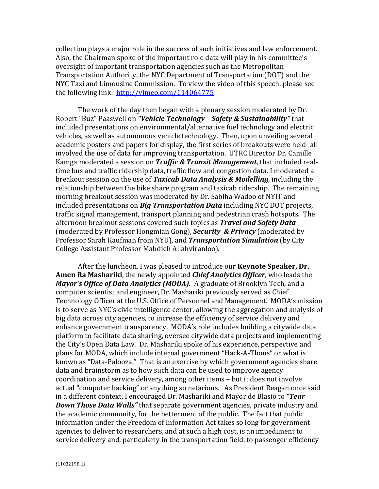collection plays a major role in the success of such initiatives and law enforcement. Also, the Chairman spoke of the important role data will play in his committee's oversight of important transportation agencies such as the Metropolitan Transportation Authority, the NYC Department of Transportation (DOT) and the NYC Taxi and Limousine Commission. To view the video of this speech, please see the following link:  $\frac{http://vimeo.com/114064775}{http://vimeo.com/114064775}$ 

The work of the day then began with a plenary session moderated by Dr. Robert "Buz" Paaswell on "Vehicle Technology - Safety & Sustainability" that included presentations on environmental/alternative fuel technology and electric vehicles, as well as autonomous vehicle technology. Then, upon unveiling several academic posters and papers for display, the first series of breakouts were held- all involved the use of data for improving transportation. UTRC Director Dr. Camille Kamga moderated a session on *Traffic & Transit Management*, that included realtime bus and traffic ridership data, traffic flow and congestion data. I moderated a breakout session on the use of *Taxicab Data Analysis & Modelling*, including the relationship between the bike share program and taxicab ridership. The remaining morning breakout session was moderated by Dr. Sabiha Wadoo of NYIT and included presentations on *Big Transportation Data* including NYC DOT projects, traffic signal management, transport planning and pedestrian crash hotspots. The afternoon breakout sessions covered such topics as *Travel and Safety Data* (moderated by Professor Hongmian Gong), *Security & Privacy* (moderated by Professor Sarah Kaufman from NYU), and *Transportation Simulation* (by City College Assistant Professor Mahdieh Allahviranloo).

After the luncheon, I was pleased to introduce our **Keynote Speaker, Dr. Amen Ra Mashariki**, the newly appointed *Chief Analytics Officer*, who leads the *Mayor's Office of Data Analytics (MODA).* A graduate of Brooklyn Tech, and a computer scientist and engineer, Dr. Mashariki previously served as Chief Technology Officer at the U.S. Office of Personnel and Management. MODA's mission is to serve as NYC's civic intelligence center, allowing the aggregation and analysis of big data across city agencies, to increase the efficiency of service delivery and enhance government transparency. MODA's role includes building a citywide data platform to facilitate data sharing, oversee citywide data projects and implementing the City's Open Data Law. Dr. Mashariki spoke of his experience, perspective and plans for MODA, which include internal government "Hack-A-Thons" or what is known as "Data-Palooza." That is an exercise by which government agencies share data and brainstorm as to how such data can be used to improve agency coordination and service delivery, among other items – but it does not involve actual "computer hacking" or anything so nefarious. As President Reagan once said in a different context, I encouraged Dr. Mashariki and Mayor de Blasio to "Tear *Down Those Data Walls* "that separate government agencies, private industry and the academic community, for the betterment of the public. The fact that public information under the Freedom of Information Act takes so long for government agencies to deliver to researchers, and at such a high cost, is an impediment to service delivery and, particularly in the transportation field, to passenger efficiency